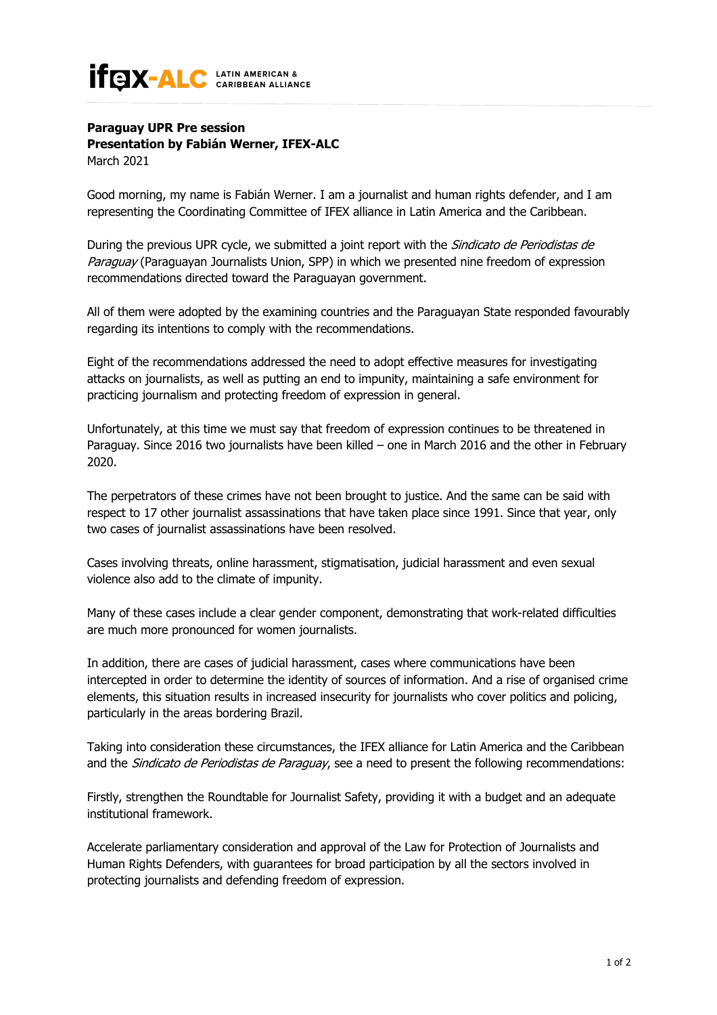## **IFEIX-ALC** LATIN AMERICAN &

## **Paraguay UPR Pre session Presentation by Fabián Werner, IFEX-ALC**

March 2021

Good morning, my name is Fabián Werner. I am a journalist and human rights defender, and I am representing the Coordinating Committee of IFEX alliance in Latin America and the Caribbean.

During the previous UPR cycle, we submitted a joint report with the *Sindicato de Periodistas de* Paraguay (Paraguayan Journalists Union, SPP) in which we presented nine freedom of expression recommendations directed toward the Paraguayan government.

All of them were adopted by the examining countries and the Paraguayan State responded favourably regarding its intentions to comply with the recommendations.

Eight of the recommendations addressed the need to adopt effective measures for investigating attacks on journalists, as well as putting an end to impunity, maintaining a safe environment for practicing journalism and protecting freedom of expression in general.

Unfortunately, at this time we must say that freedom of expression continues to be threatened in Paraguay. Since 2016 two journalists have been killed – one in March 2016 and the other in February 2020.

The perpetrators of these crimes have not been brought to justice. And the same can be said with respect to 17 other journalist assassinations that have taken place since 1991. Since that year, only two cases of journalist assassinations have been resolved.

Cases involving threats, online harassment, stigmatisation, judicial harassment and even sexual violence also add to the climate of impunity.

Many of these cases include a clear gender component, demonstrating that work-related difficulties are much more pronounced for women journalists.

In addition, there are cases of judicial harassment, cases where communications have been intercepted in order to determine the identity of sources of information. And a rise of organised crime elements, this situation results in increased insecurity for journalists who cover politics and policing, particularly in the areas bordering Brazil.

Taking into consideration these circumstances, the IFEX alliance for Latin America and the Caribbean and the Sindicato de Periodistas de Paraguay, see a need to present the following recommendations:

Firstly, strengthen the Roundtable for Journalist Safety, providing it with a budget and an adequate institutional framework.

Accelerate parliamentary consideration and approval of the Law for Protection of Journalists and Human Rights Defenders, with guarantees for broad participation by all the sectors involved in protecting journalists and defending freedom of expression.